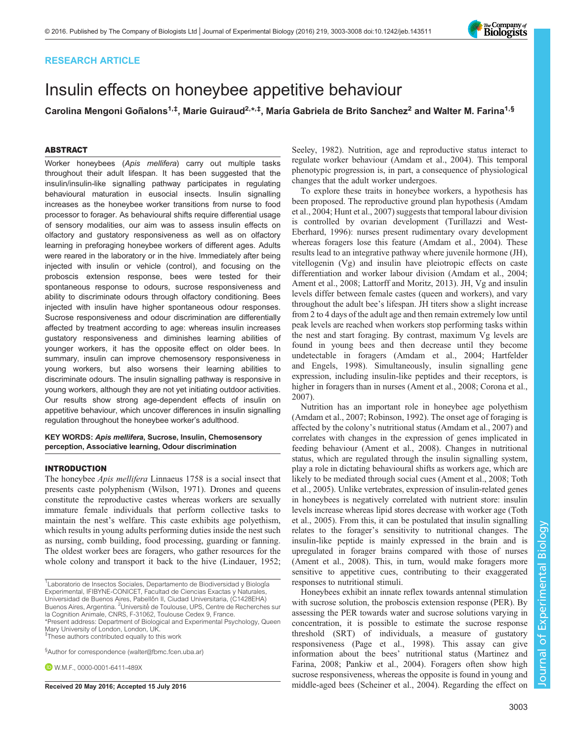# RESEARCH ARTICLE

# Insulin effects on honeybee appetitive behaviour

Carolina Mengoni Goñalons<sup>1,‡</sup>, Marie Guiraud<sup>2,</sup>\*<sup>,‡</sup>, María Gabriela de Brito Sanchez<sup>2</sup> and Walter M. Farina<sup>1,§</sup>

## ABSTRACT

Worker honeybees (Apis mellifera) carry out multiple tasks throughout their adult lifespan. It has been suggested that the insulin/insulin-like signalling pathway participates in regulating behavioural maturation in eusocial insects. Insulin signalling increases as the honeybee worker transitions from nurse to food processor to forager. As behavioural shifts require differential usage of sensory modalities, our aim was to assess insulin effects on olfactory and gustatory responsiveness as well as on olfactory learning in preforaging honeybee workers of different ages. Adults were reared in the laboratory or in the hive. Immediately after being injected with insulin or vehicle (control), and focusing on the proboscis extension response, bees were tested for their spontaneous response to odours, sucrose responsiveness and ability to discriminate odours through olfactory conditioning. Bees injected with insulin have higher spontaneous odour responses. Sucrose responsiveness and odour discrimination are differentially affected by treatment according to age: whereas insulin increases gustatory responsiveness and diminishes learning abilities of younger workers, it has the opposite effect on older bees. In summary, insulin can improve chemosensory responsiveness in young workers, but also worsens their learning abilities to discriminate odours. The insulin signalling pathway is responsive in young workers, although they are not yet initiating outdoor activities. Our results show strong age-dependent effects of insulin on appetitive behaviour, which uncover differences in insulin signalling regulation throughout the honeybee worker's adulthood.

## KEY WORDS: Apis mellifera, Sucrose, Insulin, Chemosensory perception, Associative learning, Odour discrimination

## INTRODUCTION

The honeybee Apis mellifera Linnaeus 1758 is a social insect that presents caste polyphenism ([Wilson, 1971\)](#page-5-0). Drones and queens constitute the reproductive castes whereas workers are sexually immature female individuals that perform collective tasks to maintain the nest's welfare. This caste exhibits age polyethism, which results in young adults performing duties inside the nest such as nursing, comb building, food processing, guarding or fanning. The oldest worker bees are foragers, who gather resources for the whole colony and transport it back to the hive [\(Lindauer, 1952](#page-5-0);

<sup>1</sup> Laboratorio de Insectos Sociales, Departamento de Biodiversidad y Biología Experimental, IFIBYNE-CONICET, Facultad de Ciencias Exactas y Naturales, Universidad de Buenos Aires, Pabellón II, Ciudad Universitaria, (C1428EHA)<br>Buenos Aires, Argentina. <sup>2</sup>Université de Toulouse, UPS, Centre de Recherches sur la Cognition Animale, CNRS, F-31062, Toulouse Cedex 9, France.

\*Present address: Department of Biological and Experimental Psychology, Queen Mary University of London, London, UK.

‡ These authors contributed equally to this work

§ Author for correspondence ([walter@fbmc.fcen.uba.ar\)](mailto:walter@fbmc.fcen.uba.ar)

**D** W.M.F., [0000-0001-6411-489X](http://orcid.org/0000-0001-6411-489X)

[Seeley, 1982](#page-5-0)). Nutrition, age and reproductive status interact to regulate worker behaviour ([Amdam et al., 2004\)](#page-5-0). This temporal phenotypic progression is, in part, a consequence of physiological changes that the adult worker undergoes.

To explore these traits in honeybee workers, a hypothesis has been proposed. The reproductive ground plan hypothesis ([Amdam](#page-5-0) [et al., 2004; Hunt et al., 2007\)](#page-5-0) suggests that temporal labour division is controlled by ovarian development [\(Turillazzi and West-](#page-5-0)[Eberhard, 1996\)](#page-5-0): nurses present rudimentary ovary development whereas foragers lose this feature ([Amdam et al., 2004\)](#page-5-0). These results lead to an integrative pathway where juvenile hormone (JH), vitellogenin (Vg) and insulin have pleiotropic effects on caste differentiation and worker labour division [\(Amdam et al., 2004](#page-5-0); [Ament et al., 2008; Lattorff and Moritz, 2013\)](#page-5-0). JH, Vg and insulin levels differ between female castes (queen and workers), and vary throughout the adult bee's lifespan. JH titers show a slight increase from 2 to 4 days of the adult age and then remain extremely low until peak levels are reached when workers stop performing tasks within the nest and start foraging. By contrast, maximum Vg levels are found in young bees and then decrease until they become undetectable in foragers ([Amdam et al., 2004](#page-5-0); [Hartfelder](#page-5-0) [and Engels, 1998](#page-5-0)). Simultaneously, insulin signalling gene expression, including insulin-like peptides and their receptors, is higher in foragers than in nurses ([Ament et al., 2008; Corona et al.,](#page-5-0) [2007\)](#page-5-0).

Nutrition has an important role in honeybee age polyethism [\(Amdam et al., 2007; Robinson, 1992\)](#page-5-0). The onset age of foraging is affected by the colony's nutritional status [\(Amdam et al., 2007](#page-5-0)) and correlates with changes in the expression of genes implicated in feeding behaviour ([Ament et al., 2008](#page-5-0)). Changes in nutritional status, which are regulated through the insulin signalling system, play a role in dictating behavioural shifts as workers age, which are likely to be mediated through social cues [\(Ament et al., 2008](#page-5-0); [Toth](#page-5-0) [et al., 2005\)](#page-5-0). Unlike vertebrates, expression of insulin-related genes in honeybees is negatively correlated with nutrient store: insulin levels increase whereas lipid stores decrease with worker age [\(Toth](#page-5-0) [et al., 2005\)](#page-5-0). From this, it can be postulated that insulin signalling relates to the forager's sensitivity to nutritional changes. The insulin-like peptide is mainly expressed in the brain and is upregulated in forager brains compared with those of nurses [\(Ament et al., 2008\)](#page-5-0). This, in turn, would make foragers more sensitive to appetitive cues, contributing to their exaggerated responses to nutritional stimuli.

Honeybees exhibit an innate reflex towards antennal stimulation with sucrose solution, the proboscis extension response (PER). By assessing the PER towards water and sucrose solutions varying in concentration, it is possible to estimate the sucrose response threshold (SRT) of individuals, a measure of gustatory responsiveness ([Page et al., 1998\)](#page-5-0). This assay can give information about the bees' nutritional status [\(Martinez and](#page-5-0) [Farina, 2008](#page-5-0); [Pankiw et al., 2004\)](#page-5-0). Foragers often show high sucrose responsiveness, whereas the opposite is found in young and Received 20 May 2016; Accepted 15 July 2016 middle-aged bees [\(Scheiner et al., 2004\)](#page-5-0). Regarding the effect on

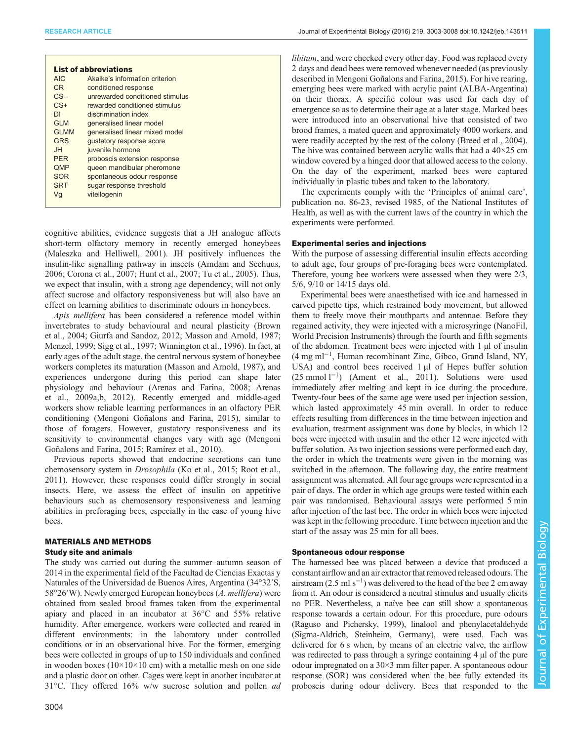| <b>List of abbreviations</b> |                                 |
|------------------------------|---------------------------------|
| AIC.                         | Akaike's information criterion  |
| C <sub>R</sub>               | conditioned response            |
| $CS-$                        | unrewarded conditioned stimulus |
| $CS+$                        | rewarded conditioned stimulus   |
| DΙ                           | discrimination index            |
| GI M                         | generalised linear model        |
| <b>GLMM</b>                  | generalised linear mixed model  |
| <b>GRS</b>                   | qustatory response score        |
| HI.                          | juvenile hormone                |
| <b>PFR</b>                   | proboscis extension response    |
| <b>QMP</b>                   | queen mandibular pheromone      |
| <b>SOR</b>                   | spontaneous odour response      |
| <b>SRT</b>                   | sugar response threshold        |
| Vg                           | vitellogenin                    |

cognitive abilities, evidence suggests that a JH analogue affects short-term olfactory memory in recently emerged honeybees [\(Maleszka and Helliwell, 2001](#page-5-0)). JH positively influences the insulin-like signalling pathway in insects [\(Amdam and Seehuus,](#page-5-0) [2006](#page-5-0); [Corona et al., 2007; Hunt et al., 2007; Tu et al., 2005\)](#page-5-0). Thus, we expect that insulin, with a strong age dependency, will not only affect sucrose and olfactory responsiveness but will also have an effect on learning abilities to discriminate odours in honeybees.

Apis mellifera has been considered a reference model within invertebrates to study behavioural and neural plasticity ([Brown](#page-5-0) [et al., 2004; Giurfa and Sandoz, 2012](#page-5-0); [Masson and Arnold, 1987](#page-5-0); [Menzel, 1999; Sigg et al., 1997; Winnington et al., 1996\)](#page-5-0). In fact, at early ages of the adult stage, the central nervous system of honeybee workers completes its maturation ([Masson and Arnold, 1987](#page-5-0)), and experiences undergone during this period can shape later physiology and behaviour ([Arenas and Farina, 2008; Arenas](#page-5-0) [et al., 2009a,b, 2012\)](#page-5-0). Recently emerged and middle-aged workers show reliable learning performances in an olfactory PER conditioning ([Mengoni Goñalons and Farina, 2015\)](#page-5-0), similar to those of foragers. However, gustatory responsiveness and its sensitivity to environmental changes vary with age ([Mengoni](#page-5-0) [Goñalons and Farina, 2015](#page-5-0); [Ramírez et al., 2010](#page-5-0)).

Previous reports showed that endocrine secretions can tune chemosensory system in Drosophila [\(Ko et al., 2015; Root et al.,](#page-5-0) [2011](#page-5-0)). However, these responses could differ strongly in social insects. Here, we assess the effect of insulin on appetitive behaviours such as chemosensory responsiveness and learning abilities in preforaging bees, especially in the case of young hive bees.

# MATERIALS AND METHODS

#### Study site and animals

The study was carried out during the summer–autumn season of 2014 in the experimental field of the Facultad de Ciencias Exactas y Naturales of the Universidad de Buenos Aires, Argentina (34°32′S, 58°26′W). Newly emerged European honeybees (A. mellifera) were obtained from sealed brood frames taken from the experimental apiary and placed in an incubator at 36°C and 55% relative humidity. After emergence, workers were collected and reared in different environments: in the laboratory under controlled conditions or in an observational hive. For the former, emerging bees were collected in groups of up to 150 individuals and confined in wooden boxes ( $10\times10\times10$  cm) with a metallic mesh on one side and a plastic door on other. Cages were kept in another incubator at 31°C. They offered 16% w/w sucrose solution and pollen ad

libitum, and were checked every other day. Food was replaced every 2 days and dead bees were removed whenever needed (as previously described in [Mengoni Goñalons and Farina, 2015](#page-5-0)). For hive rearing, emerging bees were marked with acrylic paint (ALBA-Argentina) on their thorax. A specific colour was used for each day of emergence so as to determine their age at a later stage. Marked bees were introduced into an observational hive that consisted of two brood frames, a mated queen and approximately 4000 workers, and were readily accepted by the rest of the colony ([Breed et al., 2004\)](#page-5-0). The hive was contained between acrylic walls that had a 40×25 cm window covered by a hinged door that allowed access to the colony. On the day of the experiment, marked bees were captured individually in plastic tubes and taken to the laboratory.

The experiments comply with the 'Principles of animal care', publication no. 86-23, revised 1985, of the National Institutes of Health, as well as with the current laws of the country in which the experiments were performed.

#### Experimental series and injections

With the purpose of assessing differential insulin effects according to adult age, four groups of pre-foraging bees were contemplated. Therefore, young bee workers were assessed when they were 2/3, 5/6, 9/10 or 14/15 days old.

Experimental bees were anaesthetised with ice and harnessed in carved pipette tips, which restrained body movement, but allowed them to freely move their mouthparts and antennae. Before they regained activity, they were injected with a microsyringe (NanoFil, World Precision Instruments) through the fourth and fifth segments of the abdomen. Treatment bees were injected with 1 µl of insulin (4 mg ml−<sup>1</sup> , Human recombinant Zinc, Gibco, Grand Island, NY, USA) and control bees received 1 µl of Hepes buffer solution (25 mmol l−<sup>1</sup> ) [\(Ament et al., 2011\)](#page-5-0). Solutions were used immediately after melting and kept in ice during the procedure. Twenty-four bees of the same age were used per injection session, which lasted approximately 45 min overall. In order to reduce effects resulting from differences in the time between injection and evaluation, treatment assignment was done by blocks, in which 12 bees were injected with insulin and the other 12 were injected with buffer solution. As two injection sessions were performed each day, the order in which the treatments were given in the morning was switched in the afternoon. The following day, the entire treatment assignment was alternated. All four age groups were represented in a pair of days. The order in which age groups were tested within each pair was randomised. Behavioural assays were performed 5 min after injection of the last bee. The order in which bees were injected was kept in the following procedure. Time between injection and the start of the assay was 25 min for all bees.

#### Spontaneous odour response

The harnessed bee was placed between a device that produced a constant airflow and an air extractor that removed released odours. The airstream  $(2.5 \text{ ml s}^{-1})$  was delivered to the head of the bee 2 cm away from it. An odour is considered a neutral stimulus and usually elicits no PER. Nevertheless, a naïve bee can still show a spontaneous response towards a certain odour. For this procedure, pure odours [\(Raguso and Pichersky, 1999\)](#page-5-0), linalool and phenylacetaldehyde (Sigma-Aldrich, Steinheim, Germany), were used. Each was delivered for 6 s when, by means of an electric valve, the airflow was redirected to pass through a syringe containing 4 µl of the pure odour impregnated on a 30×3 mm filter paper. A spontaneous odour response (SOR) was considered when the bee fully extended its proboscis during odour delivery. Bees that responded to the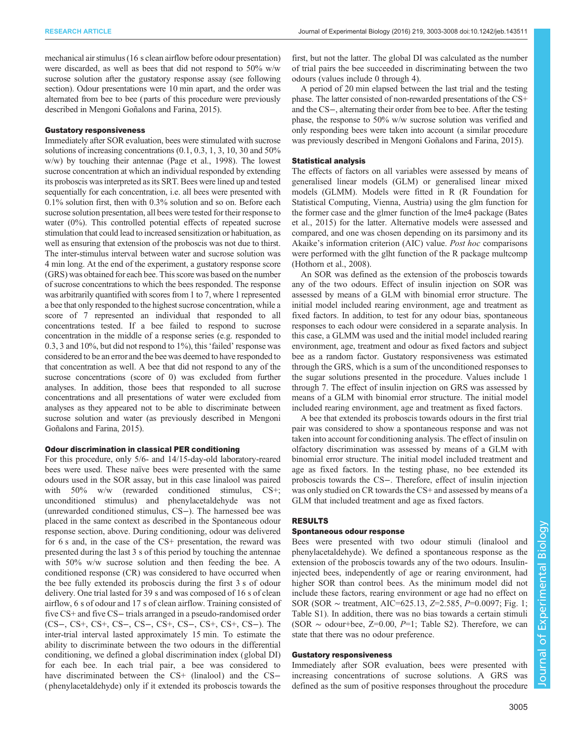mechanical air stimulus (16 s clean airflow before odour presentation) were discarded, as well as bees that did not respond to 50% w/w sucrose solution after the gustatory response assay (see following section). Odour presentations were 10 min apart, and the order was alternated from bee to bee (parts of this procedure were previously described in [Mengoni Goñalons and Farina, 2015\)](#page-5-0).

#### Gustatory responsiveness

Immediately after SOR evaluation, bees were stimulated with sucrose solutions of increasing concentrations (0.1, 0.3, 1, 3, 10, 30 and 50% w/w) by touching their antennae ([Page et al., 1998](#page-5-0)). The lowest sucrose concentration at which an individual responded by extending its proboscis was interpreted as its SRT. Bees were lined up and tested sequentially for each concentration, i.e. all bees were presented with 0.1% solution first, then with 0.3% solution and so on. Before each sucrose solution presentation, all bees were tested for their response to water (0%). This controlled potential effects of repeated sucrose stimulation that could lead to increased sensitization or habituation, as well as ensuring that extension of the proboscis was not due to thirst. The inter-stimulus interval between water and sucrose solution was 4 min long. At the end of the experiment, a gustatory response score (GRS) was obtained for each bee. This score was based on the number of sucrose concentrations to which the bees responded. The response was arbitrarily quantified with scores from 1 to 7, where 1 represented a bee that only responded to the highest sucrose concentration, while a score of 7 represented an individual that responded to all concentrations tested. If a bee failed to respond to sucrose concentration in the middle of a response series (e.g. responded to 0.3, 3 and 10%, but did not respond to 1%), this'failed' response was considered to be an error and the bee was deemed to have responded to that concentration as well. A bee that did not respond to any of the sucrose concentrations (score of 0) was excluded from further analyses. In addition, those bees that responded to all sucrose concentrations and all presentations of water were excluded from analyses as they appeared not to be able to discriminate between sucrose solution and water (as previously described in [Mengoni](#page-5-0) [Goñalons and Farina, 2015\)](#page-5-0).

#### Odour discrimination in classical PER conditioning

For this procedure, only 5/6- and 14/15-day-old laboratory-reared bees were used. These naïve bees were presented with the same odours used in the SOR assay, but in this case linalool was paired with 50% w/w (rewarded conditioned stimulus, CS+; unconditioned stimulus) and phenylacetaldehyde was not (unrewarded conditioned stimulus, CS−). The harnessed bee was placed in the same context as described in the Spontaneous odour response section, above. During conditioning, odour was delivered for 6 s and, in the case of the CS+ presentation, the reward was presented during the last 3 s of this period by touching the antennae with 50% w/w sucrose solution and then feeding the bee. A conditioned response (CR) was considered to have occurred when the bee fully extended its proboscis during the first 3 s of odour delivery. One trial lasted for 39 s and was composed of 16 s of clean airflow, 6 s of odour and 17 s of clean airflow. Training consisted of five CS+ and five CS− trials arranged in a pseudo-randomised order (CS−, CS+, CS+, CS−, CS−, CS+, CS−, CS+, CS+, CS−). The inter-trial interval lasted approximately 15 min. To estimate the ability to discriminate between the two odours in the differential conditioning, we defined a global discrimination index (global DI) for each bee. In each trial pair, a bee was considered to have discriminated between the CS+ (linalool) and the CS− ( phenylacetaldehyde) only if it extended its proboscis towards the

first, but not the latter. The global DI was calculated as the number of trial pairs the bee succeeded in discriminating between the two odours (values include 0 through 4).

A period of 20 min elapsed between the last trial and the testing phase. The latter consisted of non-rewarded presentations of the CS+ and the CS−, alternating their order from bee to bee. After the testing phase, the response to 50% w/w sucrose solution was verified and only responding bees were taken into account (a similar procedure was previously described in [Mengoni Goñalons and Farina, 2015](#page-5-0)).

#### Statistical analysis

The effects of factors on all variables were assessed by means of generalised linear models (GLM) or generalised linear mixed models (GLMM). Models were fitted in R (R Foundation for Statistical Computing, Vienna, Austria) using the glm function for the former case and the glmer function of the lme4 package [\(Bates](#page-5-0) [et al., 2015](#page-5-0)) for the latter. Alternative models were assessed and compared, and one was chosen depending on its parsimony and its Akaike's information criterion (AIC) value. Post hoc comparisons were performed with the glht function of the R package multcomp [\(Hothorn et al., 2008\)](#page-5-0).

An SOR was defined as the extension of the proboscis towards any of the two odours. Effect of insulin injection on SOR was assessed by means of a GLM with binomial error structure. The initial model included rearing environment, age and treatment as fixed factors. In addition, to test for any odour bias, spontaneous responses to each odour were considered in a separate analysis. In this case, a GLMM was used and the initial model included rearing environment, age, treatment and odour as fixed factors and subject bee as a random factor. Gustatory responsiveness was estimated through the GRS, which is a sum of the unconditioned responses to the sugar solutions presented in the procedure. Values include 1 through 7. The effect of insulin injection on GRS was assessed by means of a GLM with binomial error structure. The initial model included rearing environment, age and treatment as fixed factors.

A bee that extended its proboscis towards odours in the first trial pair was considered to show a spontaneous response and was not taken into account for conditioning analysis. The effect of insulin on olfactory discrimination was assessed by means of a GLM with binomial error structure. The initial model included treatment and age as fixed factors. In the testing phase, no bee extended its proboscis towards the CS−. Therefore, effect of insulin injection was only studied on CR towards the CS+ and assessed by means of a GLM that included treatment and age as fixed factors.

### RESULTS

#### Spontaneous odour response

Bees were presented with two odour stimuli (linalool and phenylacetaldehyde). We defined a spontaneous response as the extension of the proboscis towards any of the two odours. Insulininjected bees, independently of age or rearing environment, had higher SOR than control bees. As the minimum model did not include these factors, rearing environment or age had no effect on SOR (SOR ∼ treatment, AIC=625.13, Z=2.585, P=0.0097; [Fig. 1](#page-3-0); [Table S1](http://jeb.biologists.org/lookup/doi/10.1242/jeb.143511.supplemental)). In addition, there was no bias towards a certain stimuli (SOR  $\sim$  odour+bee, Z=0.00, P=1; [Table S2\)](http://jeb.biologists.org/lookup/doi/10.1242/jeb.143511.supplemental). Therefore, we can state that there was no odour preference.

#### Gustatory responsiveness

Immediately after SOR evaluation, bees were presented with increasing concentrations of sucrose solutions. A GRS was defined as the sum of positive responses throughout the procedure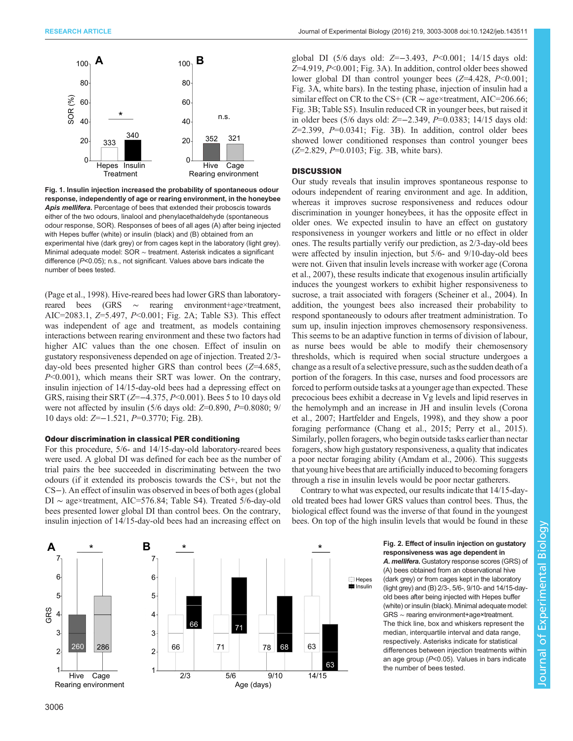<span id="page-3-0"></span>

Fig. 1. Insulin injection increased the probability of spontaneous odour response, independently of age or rearing environment, in the honeybee Apis mellifera. Percentage of bees that extended their proboscis towards either of the two odours, linalool and phenylacethaldehyde (spontaneous odour response, SOR). Responses of bees of all ages (A) after being injected with Hepes buffer (white) or insulin (black) and (B) obtained from an experimental hive (dark grey) or from cages kept in the laboratory (light grey). Minimal adequate model: SOR ∼ treatment. Asterisk indicates a significant difference (P<0.05); n.s., not significant. Values above bars indicate the number of bees tested.

[\(Page et al., 1998](#page-5-0)). Hive-reared bees had lower GRS than laboratoryreared bees (GRS ∼ rearing environment+age×treatment, AIC=2083.1, Z=5.497, P<0.001; Fig. 2A; [Table S3](http://jeb.biologists.org/lookup/doi/10.1242/jeb.143511.supplemental)). This effect was independent of age and treatment, as models containing interactions between rearing environment and these two factors had higher AIC values than the one chosen. Effect of insulin on gustatory responsiveness depended on age of injection. Treated 2/3 day-old bees presented higher GRS than control bees (Z=4.685, P<0.001), which means their SRT was lower. On the contrary, insulin injection of 14/15-day-old bees had a depressing effect on GRS, raising their SRT (Z=−4.375, P<0.001). Bees 5 to 10 days old were not affected by insulin (5/6 days old:  $Z=0.890$ ,  $P=0.8080$ ; 9/ 10 days old: Z=−1.521, P=0.3770; Fig. 2B).

### Odour discrimination in classical PER conditioning

For this procedure, 5/6- and 14/15-day-old laboratory-reared bees were used. A global DI was defined for each bee as the number of trial pairs the bee succeeded in discriminating between the two odours (if it extended its proboscis towards the CS+, but not the CS−). An effect of insulin was observed in bees of both ages (global DI ∼ age×treatment, AIC=576.84; [Table S4\)](http://jeb.biologists.org/lookup/doi/10.1242/jeb.143511.supplemental). Treated 5/6-day-old bees presented lower global DI than control bees. On the contrary, insulin injection of 14/15-day-old bees had an increasing effect on



global DI (5/6 days old: Z=−3.493, P<0.001; 14/15 days old:  $Z=4.919$ ,  $P<0.001$ ; [Fig. 3](#page-4-0)A). In addition, control older bees showed lower global DI than control younger bees  $(Z=4.428, P<0.001;$ [Fig. 3](#page-4-0)A, white bars). In the testing phase, injection of insulin had a similar effect on CR to the CS+ (CR  $\sim$  age×treatment, AIC=206.66; [Fig. 3B](#page-4-0); [Table S5](http://jeb.biologists.org/lookup/doi/10.1242/jeb.143511.supplemental)). Insulin reduced CR in younger bees, but raised it in older bees (5/6 days old: Z=−2.349, P=0.0383; 14/15 days old:  $Z=2.399$ ,  $P=0.0341$ ; [Fig. 3B](#page-4-0)). In addition, control older bees showed lower conditioned responses than control younger bees  $(Z=2.829, P=0.0103; Fig. 3B, white bars).$  $(Z=2.829, P=0.0103; Fig. 3B, white bars).$  $(Z=2.829, P=0.0103; Fig. 3B, white bars).$ 

## **DISCUSSION**

Our study reveals that insulin improves spontaneous response to odours independent of rearing environment and age. In addition, whereas it improves sucrose responsiveness and reduces odour discrimination in younger honeybees, it has the opposite effect in older ones. We expected insulin to have an effect on gustatory responsiveness in younger workers and little or no effect in older ones. The results partially verify our prediction, as 2/3-day-old bees were affected by insulin injection, but 5/6- and 9/10-day-old bees were not. Given that insulin levels increase with worker age ([Corona](#page-5-0) [et al., 2007](#page-5-0)), these results indicate that exogenous insulin artificially induces the youngest workers to exhibit higher responsiveness to sucrose, a trait associated with foragers [\(Scheiner et al., 2004\)](#page-5-0). In addition, the youngest bees also increased their probability to respond spontaneously to odours after treatment administration. To sum up, insulin injection improves chemosensory responsiveness. This seems to be an adaptive function in terms of division of labour, as nurse bees would be able to modify their chemosensory thresholds, which is required when social structure undergoes a change as a result of a selective pressure, such as the sudden death of a portion of the foragers. In this case, nurses and food processors are forced to perform outside tasks at a younger age than expected. These precocious bees exhibit a decrease in Vg levels and lipid reserves in the hemolymph and an increase in JH and insulin levels ([Corona](#page-5-0) [et al., 2007; Hartfelder and Engels, 1998\)](#page-5-0), and they show a poor foraging performance [\(Chang et al., 2015; Perry et al., 2015\)](#page-5-0). Similarly, pollen foragers, who begin outside tasks earlier than nectar foragers, show high gustatory responsiveness, a quality that indicates a poor nectar foraging ability ([Amdam et al., 2006\)](#page-5-0). This suggests that young hive beesthat are artificially induced to becoming foragers through a rise in insulin levels would be poor nectar gatherers.

Contrary to what was expected, our results indicate that 14/15-dayold treated bees had lower GRS values than control bees. Thus, the biological effect found was the inverse of that found in the youngest bees. On top of the high insulin levels that would be found in these

> Fig. 2. Effect of insulin injection on gustatory responsiveness was age dependent in A. mellifera. Gustatory response scores (GRS) of (A) bees obtained from an observational hive (dark grey) or from cages kept in the laboratory (light grey) and (B) 2/3-, 5/6-, 9/10- and 14/15-dayold bees after being injected with Hepes buffer (white) or insulin (black). Minimal adequate model: GRS ∼ rearing environment+age×treatment. The thick line, box and whiskers represent the median, interquartile interval and data range, respectively. Asterisks indicate for statistical differences between injection treatments within an age group (P<0.05). Values in bars indicate the number of bees tested.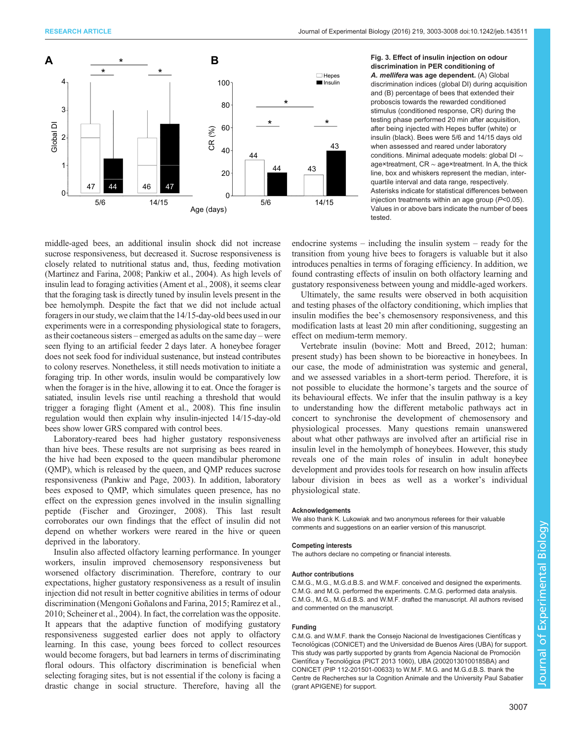<span id="page-4-0"></span>

Fig. 3. Effect of insulin injection on odour discrimination in PER conditioning of A. mellifera was age dependent. (A) Global discrimination indices (global DI) during acquisition and (B) percentage of bees that extended their proboscis towards the rewarded conditioned stimulus (conditioned response, CR) during the testing phase performed 20 min after acquisition, after being injected with Hepes buffer (white) or insulin (black). Bees were 5/6 and 14/15 days old when assessed and reared under laboratory conditions. Minimal adequate models: global DI ∼ age×treatment, CR ∼ age×treatment. In A, the thick line, box and whiskers represent the median, interquartile interval and data range, respectively. Asterisks indicate for statistical differences between injection treatments within an age group (P<0.05). Values in or above bars indicate the number of bees tested.

middle-aged bees, an additional insulin shock did not increase sucrose responsiveness, but decreased it. Sucrose responsiveness is closely related to nutritional status and, thus, feeding motivation [\(Martinez and Farina, 2008](#page-5-0); [Pankiw et al., 2004\)](#page-5-0). As high levels of insulin lead to foraging activities ([Ament et al., 2008](#page-5-0)), it seems clear that the foraging task is directly tuned by insulin levels present in the bee hemolymph. Despite the fact that we did not include actual foragers in our study, we claim that the 14/15-day-old bees used in our experiments were in a corresponding physiological state to foragers, as their coetaneous sisters – emerged as adults on the same day – were seen flying to an artificial feeder 2 days later. A honeybee forager does not seek food for individual sustenance, but instead contributes to colony reserves. Nonetheless, it still needs motivation to initiate a foraging trip. In other words, insulin would be comparatively low when the forager is in the hive, allowing it to eat. Once the forager is satiated, insulin levels rise until reaching a threshold that would trigger a foraging flight [\(Ament et al., 2008\)](#page-5-0). This fine insulin regulation would then explain why insulin-injected 14/15-day-old bees show lower GRS compared with control bees.

Laboratory-reared bees had higher gustatory responsiveness than hive bees. These results are not surprising as bees reared in the hive had been exposed to the queen mandibular pheromone (QMP), which is released by the queen, and QMP reduces sucrose responsiveness [\(Pankiw and Page, 2003\)](#page-5-0). In addition, laboratory bees exposed to QMP, which simulates queen presence, has no effect on the expression genes involved in the insulin signalling peptide [\(Fischer and Grozinger, 2008\)](#page-5-0). This last result corroborates our own findings that the effect of insulin did not depend on whether workers were reared in the hive or queen deprived in the laboratory.

Insulin also affected olfactory learning performance. In younger workers, insulin improved chemosensory responsiveness but worsened olfactory discrimination. Therefore, contrary to our expectations, higher gustatory responsiveness as a result of insulin injection did not result in better cognitive abilities in terms of odour discrimination ([Mengoni Goñalons and Farina, 2015; Ramírez et al.,](#page-5-0) [2010](#page-5-0); [Scheiner et al., 2004](#page-5-0)). In fact, the correlation was the opposite. It appears that the adaptive function of modifying gustatory responsiveness suggested earlier does not apply to olfactory learning. In this case, young bees forced to collect resources would become foragers, but bad learners in terms of discriminating floral odours. This olfactory discrimination is beneficial when selecting foraging sites, but is not essential if the colony is facing a drastic change in social structure. Therefore, having all the

endocrine systems – including the insulin system – ready for the transition from young hive bees to foragers is valuable but it also introduces penalties in terms of foraging efficiency. In addition, we found contrasting effects of insulin on both olfactory learning and gustatory responsiveness between young and middle-aged workers.

Ultimately, the same results were observed in both acquisition and testing phases of the olfactory conditioning, which implies that insulin modifies the bee's chemosensory responsiveness, and this modification lasts at least 20 min after conditioning, suggesting an effect on medium-term memory.

Vertebrate insulin (bovine: [Mott and Breed, 2012](#page-5-0); human: present study) has been shown to be bioreactive in honeybees. In our case, the mode of administration was systemic and general, and we assessed variables in a short-term period. Therefore, it is not possible to elucidate the hormone's targets and the source of its behavioural effects. We infer that the insulin pathway is a key to understanding how the different metabolic pathways act in concert to synchronise the development of chemosensory and physiological processes. Many questions remain unanswered about what other pathways are involved after an artificial rise in insulin level in the hemolymph of honeybees. However, this study reveals one of the main roles of insulin in adult honeybee development and provides tools for research on how insulin affects labour division in bees as well as a worker's individual physiological state.

#### Acknowledgements

We also thank K. Lukowiak and two anonymous referees for their valuable comments and suggestions on an earlier version of this manuscript.

#### Competing interests

The authors declare no competing or financial interests.

#### Author contributions

C.M.G., M.G., M.G.d.B.S. and W.M.F. conceived and designed the experiments. C.M.G. and M.G. performed the experiments. C.M.G. performed data analysis. C.M.G., M.G., M.G.d.B.S. and W.M.F. drafted the manuscript. All authors revised and commented on the manuscript.

#### Funding

C.M.G. and W.M.F. thank the Consejo Nacional de Investigaciones Científicas y Tecnológicas (CONICET) and the Universidad de Buenos Aires (UBA) for support. This study was partly supported by grants from Agencia Nacional de Promoción Científica y Tecnológica (PICT 2013 1060), UBA (20020130100185BA) and CONICET (PIP 112-201501-00633) to W.M.F. M.G. and M.G.d.B.S. thank the Centre de Recherches sur la Cognition Animale and the University Paul Sabatier (grant APIGENE) for support.